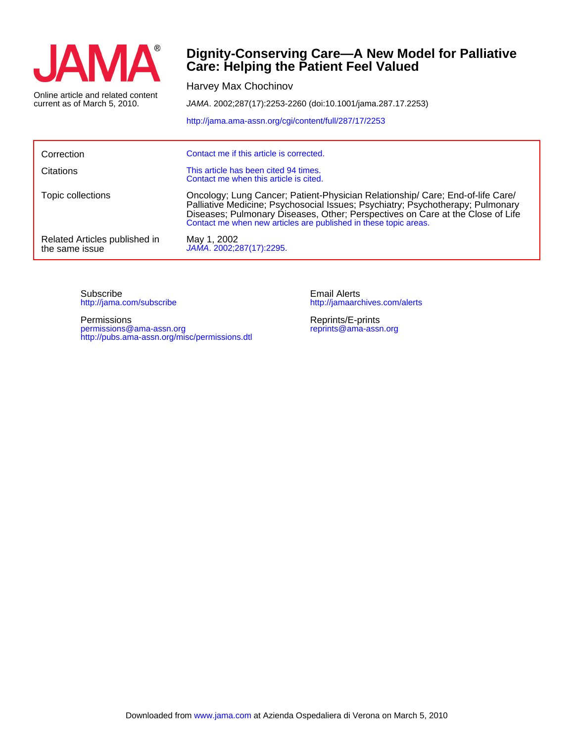

current as of March 5, 2010. Online article and related content

### **Care: Helping the Patient Feel Valued Dignity-Conserving Care—A New Model for Palliative**

Harvey Max Chochinov

JAMA. 2002;287(17):2253-2260 (doi:10.1001/jama.287.17.2253)

<http://jama.ama-assn.org/cgi/content/full/287/17/2253>

| This article has been cited 94 times.<br>Contact me when this article is cited.                                                                                                                                                                                                                                        |
|------------------------------------------------------------------------------------------------------------------------------------------------------------------------------------------------------------------------------------------------------------------------------------------------------------------------|
| Oncology; Lung Cancer; Patient-Physician Relationship/ Care; End-of-life Care/<br>Palliative Medicine; Psychosocial Issues; Psychiatry; Psychotherapy; Pulmonary<br>Diseases; Pulmonary Diseases, Other; Perspectives on Care at the Close of Life<br>Contact me when new articles are published in these topic areas. |
| May 1, 2002<br>JAMA. 2002;287(17):2295.                                                                                                                                                                                                                                                                                |
|                                                                                                                                                                                                                                                                                                                        |

<http://jama.com/subscribe> Subscribe

<http://pubs.ama-assn.org/misc/permissions.dtl> permissions@ama-assn.org Permissions

<http://jamaarchives.com/alerts> Email Alerts

[reprints@ama-assn.org](mailto:reprints@ama-assn.org) Reprints/E-prints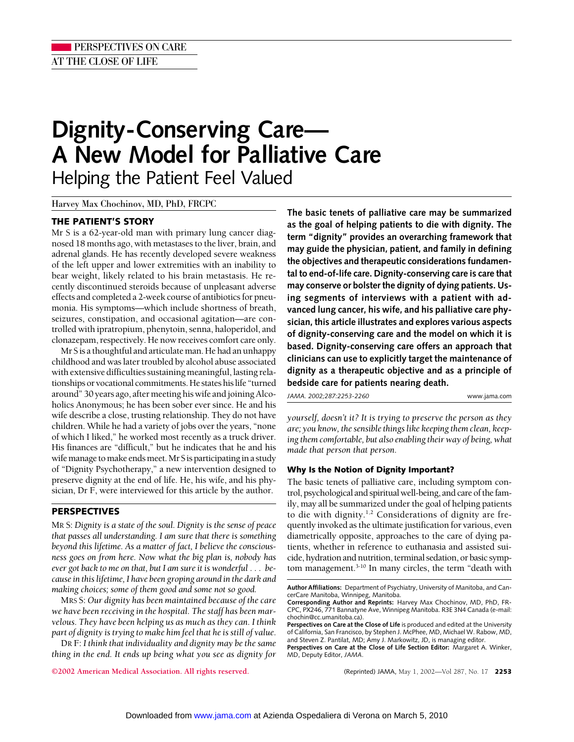# **Dignity-Conserving Care— A New Model for Palliative Care**

Helping the Patient Feel Valued

Harvey Max Chochinov, MD, PhD, FRCPC

#### **THE PATIENT'S STORY**

Mr S is a 62-year-old man with primary lung cancer diagnosed 18 months ago, with metastases to the liver, brain, and adrenal glands. He has recently developed severe weakness of the left upper and lower extremities with an inability to bear weight, likely related to his brain metastasis. He recently discontinued steroids because of unpleasant adverse effects and completed a 2-week course of antibiotics for pneumonia. His symptoms—which include shortness of breath, seizures, constipation, and occasional agitation—are controlled with ipratropium, phenytoin, senna, haloperidol, and clonazepam, respectively. He now receives comfort care only.

Mr S is a thoughtful and articulate man. He had an unhappy childhood and was later troubled by alcohol abuse associated with extensive difficulties sustaining meaningful, lasting relationships or vocational commitments. He states his life "turned around" 30 years ago, after meeting his wife and joining Alcoholics Anonymous; he has been sober ever since. He and his wife describe a close, trusting relationship. They do not have children. While he had a variety of jobs over the years, "none of which I liked," he worked most recently as a truck driver. His finances are "difficult," but he indicates that he and his wife manage to make ends meet. Mr S is participating in a study of "Dignity Psychotherapy," a new intervention designed to preserve dignity at the end of life. He, his wife, and his physician, Dr F, were interviewed for this article by the author.

#### **PERSPECTIVES**

MR S: *Dignity is a state of the soul. Dignity is the sense of peace that passes all understanding. I am sure that there is something beyond this lifetime. As a matter of fact, I believe the consciousness goes on from here. Now what the big plan is, nobody has ever got back to me on that, but I am sure it is wonderful . . . because in this lifetime, I have been groping around in the dark and making choices; some of them good and some not so good.*

MRS S: *Our dignity has been maintained because of the care we have been receiving in the hospital. The staff has been marvelous. They have been helping us as much as they can. I think part of dignity is trying to make him feel that he is still of value.*

DR F: *I think that individuality and dignity may be the same thing in the end. It ends up being what you see as dignity for*

**The basic tenets of palliative care may be summarized as the goal of helping patients to die with dignity. The term "dignity" provides an overarching framework that may guide the physician, patient, and family in defining the objectives and therapeutic considerations fundamental to end-of-life care. Dignity-conserving care is care that may conserve or bolster the dignity of dying patients. Using segments of interviews with a patient with advanced lung cancer, his wife, and his palliative care physician, this article illustrates and explores various aspects of dignity-conserving care and the model on which it is based. Dignity-conserving care offers an approach that clinicians can use to explicitly target the maintenance of dignity as a therapeutic objective and as a principle of bedside care for patients nearing death.**

*JAMA. 2002;287:2253-2260* www.jama.com

*yourself, doesn't it? It is trying to preserve the person as they are; you know, the sensible things like keeping them clean, keeping them comfortable, but also enabling their way of being, what made that person that person.*

#### **Why Is the Notion of Dignity Important?**

The basic tenets of palliative care, including symptom control, psychological and spiritual well-being, and care of the family, may all be summarized under the goal of helping patients to die with dignity.<sup>1,2</sup> Considerations of dignity are frequently invoked as the ultimate justification for various, even diametrically opposite, approaches to the care of dying patients, whether in reference to euthanasia and assisted suicide, hydration and nutrition, terminal sedation, or basic symptom management.<sup>3-10</sup> In many circles, the term "death with

**Author Affiliations:** Department of Psychiatry, University of Manitoba, and CancerCare Manitoba, Winnipeg, Manitoba.

**Corresponding Author and Reprints:** Harvey Max Chochinov, MD, PhD, FR-CPC, PX246, 771 Bannatyne Ave, Winnipeg Manitoba. R3E 3N4 Canada (e-mail: chochin@cc.umanitoba.ca).

**Perspectives on Care at the Close of Life** is produced and edited at the University of California, San Francisco, by Stephen J. McPhee, MD, Michael W. Rabow, MD, and Steven Z. Pantilat, MD; Amy J. Markowitz, JD, is managing editor.

**Perspectives on Care at the Close of Life Section Editor:** Margaret A. Winker, MD, Deputy Editor, *JAMA*.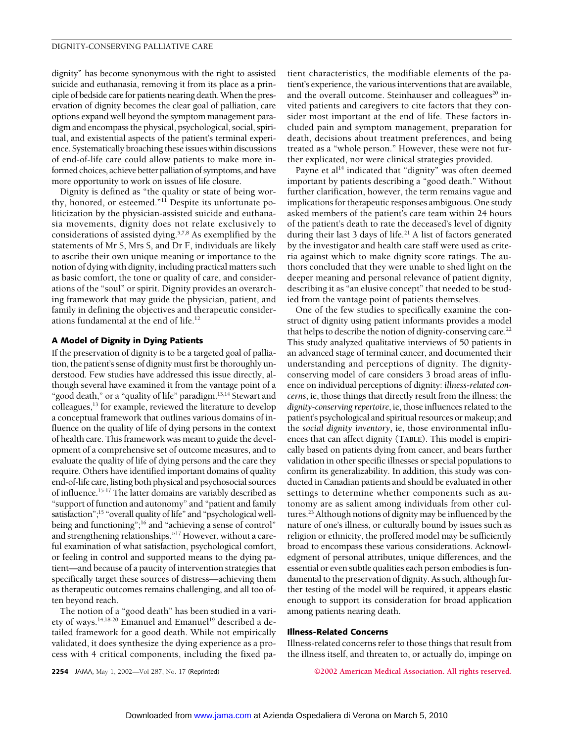dignity" has become synonymous with the right to assisted suicide and euthanasia, removing it from its place as a principle of bedside care for patients nearing death. When the preservation of dignity becomes the clear goal of palliation, care options expand well beyond the symptom management paradigm and encompass the physical, psychological, social, spiritual, and existential aspects of the patient's terminal experience. Systematically broaching these issues within discussions of end-of-life care could allow patients to make more informed choices, achieve better palliation of symptoms, and have more opportunity to work on issues of life closure.

Dignity is defined as "the quality or state of being worthy, honored, or esteemed."11 Despite its unfortunate politicization by the physician-assisted suicide and euthanasia movements, dignity does not relate exclusively to considerations of assisted dying.5,7,8 As exemplified by the statements of Mr S, Mrs S, and Dr F, individuals are likely to ascribe their own unique meaning or importance to the notion of dying with dignity, including practical matters such as basic comfort, the tone or quality of care, and considerations of the "soul" or spirit. Dignity provides an overarching framework that may guide the physician, patient, and family in defining the objectives and therapeutic considerations fundamental at the end of life.12

#### **A Model of Dignity in Dying Patients**

If the preservation of dignity is to be a targeted goal of palliation, the patient's sense of dignity must first be thoroughly understood. Few studies have addressed this issue directly, although several have examined it from the vantage point of a "good death," or a "quality of life" paradigm.<sup>13,14</sup> Stewart and colleagues,13 for example, reviewed the literature to develop a conceptual framework that outlines various domains of influence on the quality of life of dying persons in the context of health care. This framework was meant to guide the development of a comprehensive set of outcome measures, and to evaluate the quality of life of dying persons and the care they require. Others have identified important domains of quality end-of-life care, listing both physical and psychosocial sources of influence.15-17 The latter domains are variably described as "support of function and autonomy" and "patient and family satisfaction"; <sup>15</sup> "overall quality of life" and "psychological wellbeing and functioning"; <sup>16</sup> and "achieving a sense of control" and strengthening relationships."17 However, without a careful examination of what satisfaction, psychological comfort, or feeling in control and supported means to the dying patient—and because of a paucity of intervention strategies that specifically target these sources of distress—achieving them as therapeutic outcomes remains challenging, and all too often beyond reach.

The notion of a "good death" has been studied in a variety of ways.<sup>14,18-20</sup> Emanuel and Emanuel<sup>19</sup> described a detailed framework for a good death. While not empirically validated, it does synthesize the dying experience as a process with 4 critical components, including the fixed patient characteristics, the modifiable elements of the patient's experience, the various interventions that are available, and the overall outcome. Steinhauser and colleagues<sup>20</sup> invited patients and caregivers to cite factors that they consider most important at the end of life. These factors included pain and symptom management, preparation for death, decisions about treatment preferences, and being treated as a "whole person." However, these were not further explicated, nor were clinical strategies provided.

Payne et al<sup>14</sup> indicated that "dignity" was often deemed important by patients describing a "good death." Without further clarification, however, the term remains vague and implications for therapeutic responses ambiguous. One study asked members of the patient's care team within 24 hours of the patient's death to rate the deceased's level of dignity during their last 3 days of life.<sup>21</sup> A list of factors generated by the investigator and health care staff were used as criteria against which to make dignity score ratings. The authors concluded that they were unable to shed light on the deeper meaning and personal relevance of patient dignity, describing it as "an elusive concept" that needed to be studied from the vantage point of patients themselves.

One of the few studies to specifically examine the construct of dignity using patient informants provides a model that helps to describe the notion of dignity-conserving care.<sup>22</sup> This study analyzed qualitative interviews of 50 patients in an advanced stage of terminal cancer, and documented their understanding and perceptions of dignity. The dignityconserving model of care considers 3 broad areas of influence on individual perceptions of dignity: *illness-related concerns*, ie, those things that directly result from the illness; the *dignity-conserving repertoire*, ie, those influences related to the patient's psychological and spiritual resources or makeup; and the *social dignity inventory*, ie, those environmental influences that can affect dignity (**TABLE**). This model is empirically based on patients dying from cancer, and bears further validation in other specific illnesses or special populations to confirm its generalizability. In addition, this study was conducted in Canadian patients and should be evaluated in other settings to determine whether components such as autonomy are as salient among individuals from other cultures.23 Although notions of dignity may be influenced by the nature of one's illness, or culturally bound by issues such as religion or ethnicity, the proffered model may be sufficiently broad to encompass these various considerations. Acknowledgment of personal attributes, unique differences, and the essential or even subtle qualities each person embodies is fundamental to the preservation of dignity. As such, although further testing of the model will be required, it appears elastic enough to support its consideration for broad application among patients nearing death.

#### **Illness-Related Concerns**

Illness-related concerns refer to those things that result from the illness itself, and threaten to, or actually do, impinge on

**2254** JAMA, May 1, 2002—Vol 287, No. 17 (Reprinted) **©2002 American Medical Association. All rights reserved.**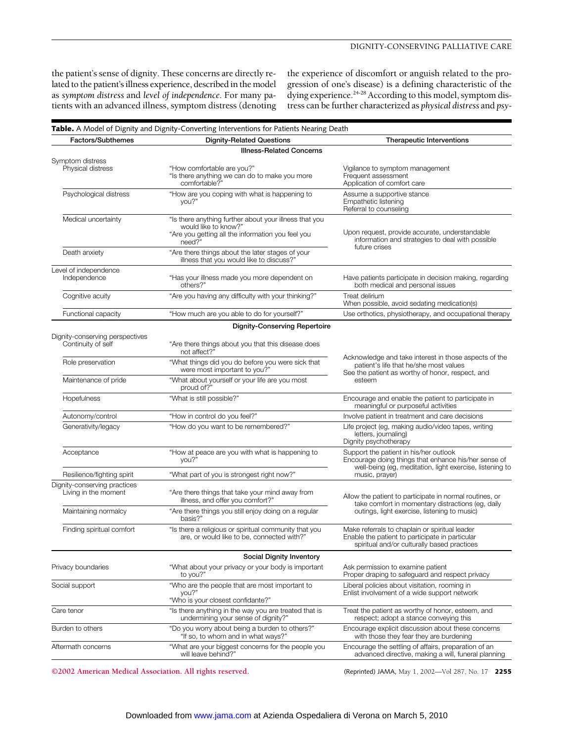the patient's sense of dignity. These concerns are directly related to the patient's illness experience, described in the model as *symptom distress* and *level of independence*. For many patients with an advanced illness, symptom distress (denoting

the experience of discomfort or anguish related to the progression of one's disease) is a defining characteristic of the dying experience.<sup>24-28</sup> According to this model, symptom distress can be further characterized as *physical distress* and *psy-*

| Factors/Subthemes                                     | <b>Dignity-Related Questions</b>                                                                                                              | Therapeutic Interventions                                                                                                                                                    |
|-------------------------------------------------------|-----------------------------------------------------------------------------------------------------------------------------------------------|------------------------------------------------------------------------------------------------------------------------------------------------------------------------------|
|                                                       | <b>Illness-Related Concerns</b>                                                                                                               |                                                                                                                                                                              |
| Symptom distress<br>Physical distress                 | "How comfortable are you?"<br>"Is there anything we can do to make you more<br>comfortable?"                                                  | Vigilance to symptom management<br>Frequent assessment<br>Application of comfort care                                                                                        |
| Psychological distress                                | "How are you coping with what is happening to<br>you?"                                                                                        | Assume a supportive stance<br>Empathetic listening<br>Referral to counseling                                                                                                 |
| Medical uncertainty                                   | "Is there anything further about your illness that you<br>would like to know?"<br>"Are you getting all the information you feel you<br>need?" | Upon request, provide accurate, understandable<br>information and strategies to deal with possible<br>future crises                                                          |
| Death anxiety                                         | "Are there things about the later stages of your<br>illness that you would like to discuss?"                                                  |                                                                                                                                                                              |
| Level of independence<br>Independence                 | "Has your illness made you more dependent on<br>others?"                                                                                      | Have patients participate in decision making, regarding<br>both medical and personal issues                                                                                  |
| Cognitive acuity                                      | "Are you having any difficulty with your thinking?"                                                                                           | Treat delirium<br>When possible, avoid sedating medication(s)                                                                                                                |
| Functional capacity                                   | "How much are you able to do for yourself?"                                                                                                   | Use orthotics, physiotherapy, and occupational therapy                                                                                                                       |
|                                                       | Dignity-Conserving Repertoire                                                                                                                 |                                                                                                                                                                              |
| Dignity-conserving perspectives<br>Continuity of self | "Are there things about you that this disease does<br>not affect?"                                                                            | Acknowledge and take interest in those aspects of the<br>patient's life that he/she most values<br>See the patient as worthy of honor, respect, and<br>esteem                |
| Role preservation                                     | "What things did you do before you were sick that<br>were most important to you?"                                                             |                                                                                                                                                                              |
| Maintenance of pride                                  | "What about yourself or your life are you most<br>proud of?"                                                                                  |                                                                                                                                                                              |
| Hopefulness                                           | "What is still possible?"                                                                                                                     | Encourage and enable the patient to participate in<br>meaningful or purposeful activities                                                                                    |
| Autonomy/control                                      | "How in control do you feel?"                                                                                                                 | Involve patient in treatment and care decisions                                                                                                                              |
| Generativity/legacy                                   | "How do you want to be remembered?"                                                                                                           | Life project (eg, making audio/video tapes, writing<br>letters, journaling)<br>Dignity psychotherapy                                                                         |
| Acceptance                                            | "How at peace are you with what is happening to<br>you?"                                                                                      | Support the patient in his/her outlook<br>Encourage doing things that enhance his/her sense of<br>well-being (eg, meditation, light exercise, listening to<br>music, prayer) |
| Resilience/fighting spirit                            | "What part of you is strongest right now?"                                                                                                    |                                                                                                                                                                              |
| Dignity-conserving practices<br>Living in the moment  | "Are there things that take your mind away from<br>illness, and offer you comfort?"                                                           | Allow the patient to participate in normal routines, or<br>take comfort in momentary distractions (eg, daily<br>outings, light exercise, listening to music)                 |
| Maintaining normalcy                                  | "Are there things you still enjoy doing on a regular<br>basis?"                                                                               |                                                                                                                                                                              |
| Finding spiritual comfort                             | "Is there a religious or spiritual community that you<br>are, or would like to be, connected with?"                                           | Make referrals to chaplain or spiritual leader<br>Enable the patient to participate in particular<br>spiritual and/or culturally based practices                             |
|                                                       | Social Dignity Inventory                                                                                                                      |                                                                                                                                                                              |
| Privacy boundaries                                    | "What about your privacy or your body is important<br>to you?"                                                                                | Ask permission to examine patient<br>Proper draping to safeguard and respect privacy                                                                                         |
| Social support                                        | "Who are the people that are most important to<br>vou?"<br>"Who is your closest confidante?"                                                  | Liberal policies about visitation, rooming in<br>Enlist involvement of a wide support network                                                                                |
| Care tenor                                            | "Is there anything in the way you are treated that is<br>undermining your sense of dignity?"                                                  | Treat the patient as worthy of honor, esteem, and<br>respect; adopt a stance conveying this                                                                                  |
| Burden to others                                      | "Do you worry about being a burden to others?"<br>"If so, to whom and in what ways?"                                                          | Encourage explicit discussion about these concerns<br>with those they fear they are burdening                                                                                |
| Aftermath concerns                                    | "What are your biggest concerns for the people you<br>will leave behind?"                                                                     | Encourage the settling of affairs, preparation of an<br>advanced directive, making a will, funeral planning                                                                  |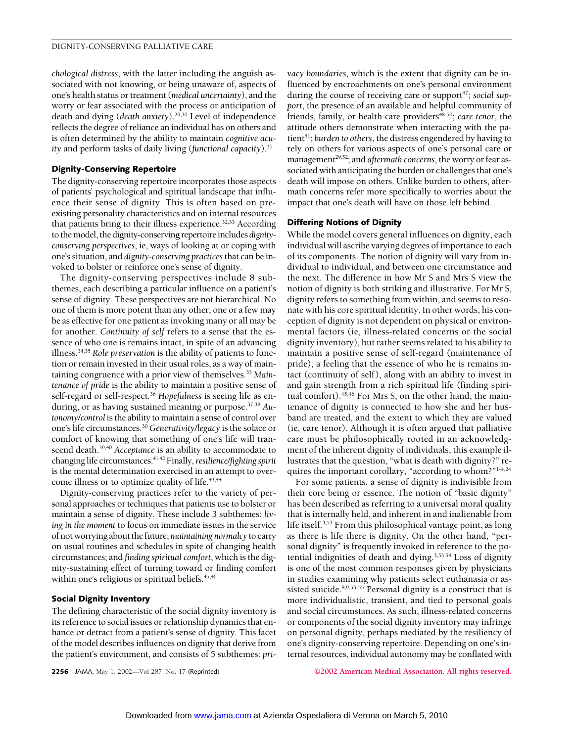#### DIGNITY-CONSERVING PALLIATIVE CARE

*chological distress*, with the latter including the anguish associated with not knowing, or being unaware of, aspects of one's health status or treatment (*medical uncertainty*), and the worry or fear associated with the process or anticipation of death and dying (*death anxiety*).29,30 Level of independence reflects the degree of reliance an individual has on others and is often determined by the ability to maintain *cognitive acuity* and perform tasks of daily living (*functional capacity*).31

#### **Dignity-Conserving Repertoire**

The dignity-conserving repertoire incorporates those aspects of patients' psychological and spiritual landscape that influence their sense of dignity. This is often based on preexisting personality characteristics and on internal resources that patients bring to their illness experience.<sup>32,33</sup> According to the model, the dignity-conserving repertoire includes *dignityconserving perspectives*, ie, ways of looking at or coping with one's situation, and *dignity-conserving practices*that can be invoked to bolster or reinforce one's sense of dignity.

The dignity-conserving perspectives include 8 subthemes, each describing a particular influence on a patient's sense of dignity. These perspectives are not hierarchical. No one of them is more potent than any other; one or a few may be as effective for one patient as invoking many or all may be for another. *Continuity of self* refers to a sense that the essence of who one is remains intact, in spite of an advancing illness.34,35 *Role preservation* is the ability of patients to function or remain invested in their usual roles, as a way of maintaining congruence with a prior view of themselves.35 *Maintenance of pride* is the ability to maintain a positive sense of self-regard or self-respect.36 *Hopefulness* is seeing life as enduring, or as having sustained meaning or purpose.37,38 *Autonomy/control* is the ability to maintain a sense of control over one's life circumstances.30 *Generativity/legacy* is the solace or comfort of knowing that something of one's life will transcend death.39,40 *Acceptance* is an ability to accommodate to changing life circumstances.41,42Finally,*resilience/fighting spirit* is the mental determination exercised in an attempt to overcome illness or to optimize quality of life. $43,44$ 

Dignity-conserving practices refer to the variety of personal approaches or techniques that patients use to bolster or maintain a sense of dignity. These include 3 subthemes: *living in the moment* to focus on immediate issues in the service of not worrying about the future;*maintaining normalcy* to carry on usual routines and schedules in spite of changing health circumstances; and *finding spiritual comfort*, which is the dignity-sustaining effect of turning toward or finding comfort within one's religious or spiritual beliefs.<sup>45,46</sup>

#### **Social Dignity Inventory**

The defining characteristic of the social dignity inventory is its reference to social issues or relationship dynamics that enhance or detract from a patient's sense of dignity. This facet of the model describes influences on dignity that derive from the patient's environment, and consists of 5 subthemes: *pri-* *vacy boundaries*, which is the extent that dignity can be influenced by encroachments on one's personal environment during the course of receiving care or support<sup>47</sup>; social sup*port*, the presence of an available and helpful community of friends, family, or health care providers<sup>48-50</sup>; *care tenor*, the attitude others demonstrate when interacting with the patient51; *burden to others*, the distress engendered by having to rely on others for various aspects of one's personal care or management<sup>29,52</sup>; and *aftermath concerns*, the worry or fear associated with anticipating the burden or challenges that one's death will impose on others. Unlike burden to others, aftermath concerns refer more specifically to worries about the impact that one's death will have on those left behind.

#### **Differing Notions of Dignity**

While the model covers general influences on dignity, each individual will ascribe varying degrees of importance to each of its components. The notion of dignity will vary from individual to individual, and between one circumstance and the next. The difference in how Mr S and Mrs S view the notion of dignity is both striking and illustrative. For Mr S, dignity refers to something from within, and seems to resonate with his core spiritual identity. In other words, his conception of dignity is not dependent on physical or environmental factors (ie, illness-related concerns or the social dignity inventory), but rather seems related to his ability to maintain a positive sense of self-regard (maintenance of pride), a feeling that the essence of who he is remains intact (continuity of self), along with an ability to invest in and gain strength from a rich spiritual life (finding spiritual comfort).<sup>45,46</sup> For Mrs S, on the other hand, the maintenance of dignity is connected to how she and her husband are treated, and the extent to which they are valued (ie, care tenor). Although it is often argued that palliative care must be philosophically rooted in an acknowledgment of the inherent dignity of individuals, this example illustrates that the question, "what is death with dignity?" requires the important corollary, "according to whom?"1-4,24

For some patients, a sense of dignity is indivisible from their core being or essence. The notion of "basic dignity" has been described as referring to a universal moral quality that is internally held, and inherent in and inalienable from life itself.3,53 From this philosophical vantage point, as long as there is life there is dignity. On the other hand, "personal dignity" is frequently invoked in reference to the potential indignities of death and dying. $3,53,54$  Loss of dignity is one of the most common responses given by physicians in studies examining why patients select euthanasia or assisted suicide.<sup>8,9,53-55</sup> Personal dignity is a construct that is more individualistic, transient, and tied to personal goals and social circumstances. As such, illness-related concerns or components of the social dignity inventory may infringe on personal dignity, perhaps mediated by the resiliency of one's dignity-conserving repertoire. Depending on one's internal resources, individual autonomy may be conflated with

**2256** JAMA, May 1, 2002—Vol 287, No. 17 (Reprinted) **©2002 American Medical Association. All rights reserved.**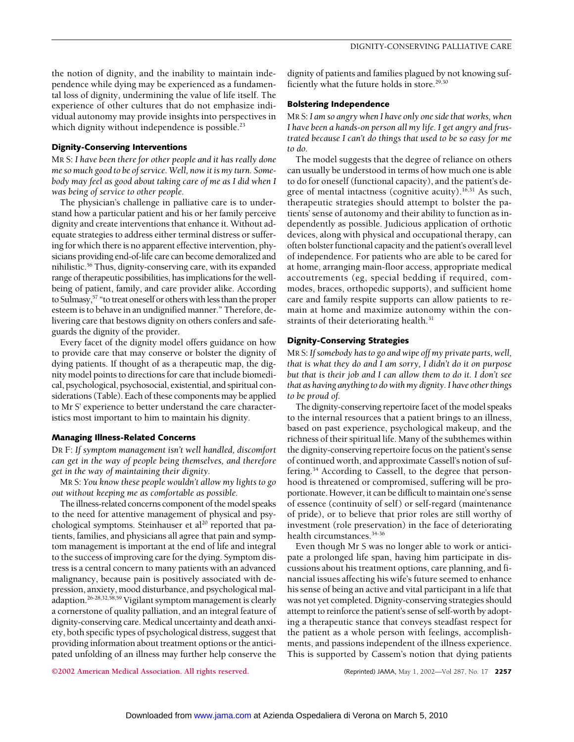the notion of dignity, and the inability to maintain independence while dying may be experienced as a fundamental loss of dignity, undermining the value of life itself. The experience of other cultures that do not emphasize individual autonomy may provide insights into perspectives in which dignity without independence is possible.<sup>23</sup>

#### **Dignity-Conserving Interventions**

MR S: *I have been there for other people and it has really done me so much good to be of service. Well, now it is my turn. Somebody may feel as good about taking care of me as I did when I was being of service to other people.*

The physician's challenge in palliative care is to understand how a particular patient and his or her family perceive dignity and create interventions that enhance it. Without adequate strategies to address either terminal distress or suffering for which there is no apparent effective intervention, physicians providing end-of-life care can become demoralized and nihilistic.56 Thus, dignity-conserving care, with its expanded range of therapeutic possibilities, has implications for the wellbeing of patient, family, and care provider alike. According to Sulmasy,57 "to treat oneself or others with less than the proper esteem is to behave in an undignified manner." Therefore, delivering care that bestows dignity on others confers and safeguards the dignity of the provider.

Every facet of the dignity model offers guidance on how to provide care that may conserve or bolster the dignity of dying patients. If thought of as a therapeutic map, the dignity model points to directions for care that include biomedical, psychological, psychosocial, existential, and spiritual considerations (Table). Each of these components may be applied to Mr S' experience to better understand the care characteristics most important to him to maintain his dignity.

#### **Managing Illness-Related Concerns**

DR F: *If symptom management isn't well handled, discomfort can get in the way of people being themselves, and therefore get in the way of maintaining their dignity.*

MR S: *You know these people wouldn't allow my lights to go out without keeping me as comfortable as possible.*

The illness-related concerns component of the model speaks to the need for attentive management of physical and psychological symptoms. Steinhauser et al<sup>20</sup> reported that patients, families, and physicians all agree that pain and symptom management is important at the end of life and integral to the success of improving care for the dying. Symptom distress is a central concern to many patients with an advanced malignancy, because pain is positively associated with depression, anxiety, mood disturbance, and psychological maladaption.26-28,32,58,59 Vigilant symptom management is clearly a cornerstone of quality palliation, and an integral feature of dignity-conserving care. Medical uncertainty and death anxiety, both specific types of psychological distress, suggest that providing information about treatment options or the anticipated unfolding of an illness may further help conserve the

dignity of patients and families plagued by not knowing sufficiently what the future holds in store.<sup>29,30</sup>

#### **Bolstering Independence**

MR S: *I am so angry when I have only one side that works, when I have been a hands-on person all my life. I get angry and frustrated because I can't do things that used to be so easy for me to do.*

The model suggests that the degree of reliance on others can usually be understood in terms of how much one is able to do for oneself (functional capacity), and the patient's degree of mental intactness (cognitive acuity).<sup>16,31</sup> As such, therapeutic strategies should attempt to bolster the patients'sense of autonomy and their ability to function as independently as possible. Judicious application of orthotic devices, along with physical and occupational therapy, can often bolster functional capacity and the patient's overall level of independence. For patients who are able to be cared for at home, arranging main-floor access, appropriate medical accoutrements (eg, special bedding if required, commodes, braces, orthopedic supports), and sufficient home care and family respite supports can allow patients to remain at home and maximize autonomy within the constraints of their deteriorating health.<sup>31</sup>

#### **Dignity-Conserving Strategies**

MR S: *If somebody has to go and wipe off my private parts, well, that is what they do and I am sorry, I didn't do it on purpose but that is their job and I can allow them to do it. I don't see that as having anything to do with my dignity. I have other things to be proud of.*

The dignity-conserving repertoire facet of the model speaks to the internal resources that a patient brings to an illness, based on past experience, psychological makeup, and the richness of their spiritual life. Many of the subthemes within the dignity-conserving repertoire focus on the patient's sense of continued worth, and approximate Cassell's notion of suffering.34 According to Cassell, to the degree that personhood is threatened or compromised, suffering will be proportionate. However, it can be difficult to maintain one's sense of essence (continuity of self) or self-regard (maintenance of pride), or to believe that prior roles are still worthy of investment (role preservation) in the face of deteriorating health circumstances.<sup>34-36</sup>

Even though Mr S was no longer able to work or anticipate a prolonged life span, having him participate in discussions about his treatment options, care planning, and financial issues affecting his wife's future seemed to enhance his sense of being an active and vital participant in a life that was not yet completed. Dignity-conserving strategies should attempt to reinforce the patient's sense of self-worth by adopting a therapeutic stance that conveys steadfast respect for the patient as a whole person with feelings, accomplishments, and passions independent of the illness experience. This is supported by Cassem's notion that dying patients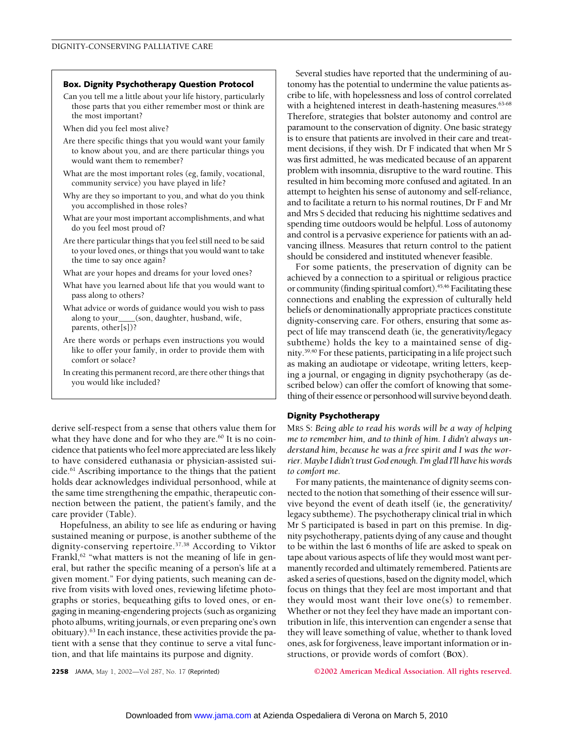#### **Box. Dignity Psychotherapy Question Protocol**

- Can you tell me a little about your life history, particularly those parts that you either remember most or think are the most important?
- When did you feel most alive?
- Are there specific things that you would want your family to know about you, and are there particular things you would want them to remember?
- What are the most important roles (eg, family, vocational, community service) you have played in life?
- Why are they so important to you, and what do you think you accomplished in those roles?
- What are your most important accomplishments, and what do you feel most proud of?
- Are there particular things that you feel still need to be said to your loved ones, or things that you would want to take the time to say once again?
- What are your hopes and dreams for your loved ones?
- What have you learned about life that you would want to pass along to others?
- What advice or words of guidance would you wish to pass along to your\_\_\_\_(son, daughter, husband, wife, parents, other[s])?
- Are there words or perhaps even instructions you would like to offer your family, in order to provide them with comfort or solace?
- In creating this permanent record, are there other things that you would like included?

derive self-respect from a sense that others value them for what they have done and for who they are.<sup>60</sup> It is no coincidence that patients who feel more appreciated are less likely to have considered euthanasia or physician-assisted suicide.61 Ascribing importance to the things that the patient holds dear acknowledges individual personhood, while at the same time strengthening the empathic, therapeutic connection between the patient, the patient's family, and the care provider (Table).

Hopefulness, an ability to see life as enduring or having sustained meaning or purpose, is another subtheme of the dignity-conserving repertoire.37,38 According to Viktor Frankl, $62$  "what matters is not the meaning of life in general, but rather the specific meaning of a person's life at a given moment." For dying patients, such meaning can derive from visits with loved ones, reviewing lifetime photographs or stories, bequeathing gifts to loved ones, or engaging in meaning-engendering projects (such as organizing photo albums, writing journals, or even preparing one's own obituary).<sup>63</sup> In each instance, these activities provide the patient with a sense that they continue to serve a vital function, and that life maintains its purpose and dignity.

Several studies have reported that the undermining of autonomy has the potential to undermine the value patients ascribe to life, with hopelessness and loss of control correlated with a heightened interest in death-hastening measures.<sup>63-68</sup> Therefore, strategies that bolster autonomy and control are paramount to the conservation of dignity. One basic strategy is to ensure that patients are involved in their care and treatment decisions, if they wish. Dr F indicated that when Mr S was first admitted, he was medicated because of an apparent problem with insomnia, disruptive to the ward routine. This resulted in him becoming more confused and agitated. In an attempt to heighten his sense of autonomy and self-reliance, and to facilitate a return to his normal routines, Dr F and Mr and Mrs S decided that reducing his nighttime sedatives and spending time outdoors would be helpful. Loss of autonomy and control is a pervasive experience for patients with an advancing illness. Measures that return control to the patient should be considered and instituted whenever feasible.

For some patients, the preservation of dignity can be achieved by a connection to a spiritual or religious practice or community (finding spiritual comfort).<sup>45,46</sup> Facilitating these connections and enabling the expression of culturally held beliefs or denominationally appropriate practices constitute dignity-conserving care. For others, ensuring that some aspect of life may transcend death (ie, the generativity/legacy subtheme) holds the key to a maintained sense of dignity.39,40 For these patients, participating in a life project such as making an audiotape or videotape, writing letters, keeping a journal, or engaging in dignity psychotherapy (as described below) can offer the comfort of knowing that something of their essence or personhood will survive beyond death.

#### **Dignity Psychotherapy**

MRS S: *Being able to read his words will be a way of helping me to remember him, and to think of him. I didn't always understand him, because he was a free spirit and I was the worrier. Maybe I didn't trust God enough. I'm glad I'll have his words to comfort me.*

For many patients, the maintenance of dignity seems connected to the notion that something of their essence will survive beyond the event of death itself (ie, the generativity/ legacy subtheme). The psychotherapy clinical trial in which Mr S participated is based in part on this premise. In dignity psychotherapy, patients dying of any cause and thought to be within the last 6 months of life are asked to speak on tape about various aspects of life they would most want permanently recorded and ultimately remembered. Patients are asked a series of questions, based on the dignity model, which focus on things that they feel are most important and that they would most want their love one(s) to remember. Whether or not they feel they have made an important contribution in life, this intervention can engender a sense that they will leave something of value, whether to thank loved ones, ask for forgiveness, leave important information or instructions, or provide words of comfort (**BOX**).

**2258** JAMA, May 1, 2002—Vol 287, No. 17 (Reprinted) **©2002 American Medical Association. All rights reserved.**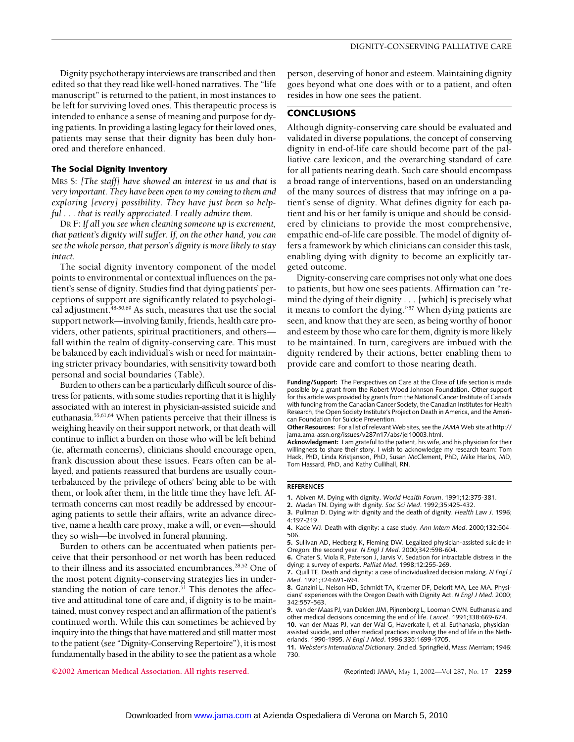Dignity psychotherapy interviews are transcribed and then edited so that they read like well-honed narratives. The "life manuscript" is returned to the patient, in most instances to be left for surviving loved ones. This therapeutic process is intended to enhance a sense of meaning and purpose for dying patients. In providing a lasting legacy for their loved ones, patients may sense that their dignity has been duly honored and therefore enhanced.

#### **The Social Dignity Inventory**

MRS S: *[The staff] have showed an interest in us and that is very important. They have been open to my coming to them and exploring [every] possibility. They have just been so helpful . . . that is really appreciated. I really admire them.*

DR F: *If all you see when cleaning someone up is excrement, that patient's dignity will suffer. If, on the other hand, you can see the whole person, that person's dignity is more likely to stay intact.*

The social dignity inventory component of the model points to environmental or contextual influences on the patient's sense of dignity. Studies find that dying patients' perceptions of support are significantly related to psychological adjustment.48-50,69 As such, measures that use the social support network—involving family, friends, health care providers, other patients, spiritual practitioners, and others fall within the realm of dignity-conserving care. This must be balanced by each individual's wish or need for maintaining stricter privacy boundaries, with sensitivity toward both personal and social boundaries (Table).

Burden to others can be a particularly difficult source of distress for patients, with some studies reporting that it is highly associated with an interest in physician-assisted suicide and euthanasia.55,61,64 When patients perceive that their illness is weighing heavily on their support network, or that death will continue to inflict a burden on those who will be left behind (ie, aftermath concerns), clinicians should encourage open, frank discussion about these issues. Fears often can be allayed, and patients reassured that burdens are usually counterbalanced by the privilege of others' being able to be with them, or look after them, in the little time they have left. Aftermath concerns can most readily be addressed by encouraging patients to settle their affairs, write an advance directive, name a health care proxy, make a will, or even—should they so wish—be involved in funeral planning.

Burden to others can be accentuated when patients perceive that their personhood or net worth has been reduced to their illness and its associated encumbrances.<sup>28,52</sup> One of the most potent dignity-conserving strategies lies in understanding the notion of care tenor. $51$  This denotes the affective and attitudinal tone of care and, if dignity is to be maintained, must convey respect and an affirmation of the patient's continued worth. While this can sometimes be achieved by inquiry into the things that have mattered and still matter most to the patient (see "Dignity-Conserving Repertoire"), it is most fundamentally based in the ability to see the patient as a whole person, deserving of honor and esteem. Maintaining dignity goes beyond what one does with or to a patient, and often resides in how one sees the patient.

#### **CONCLUSIONS**

Although dignity-conserving care should be evaluated and validated in diverse populations, the concept of conserving dignity in end-of-life care should become part of the palliative care lexicon, and the overarching standard of care for all patients nearing death. Such care should encompass a broad range of interventions, based on an understanding of the many sources of distress that may infringe on a patient's sense of dignity. What defines dignity for each patient and his or her family is unique and should be considered by clinicians to provide the most comprehensive, empathic end-of-life care possible. The model of dignity offers a framework by which clinicians can consider this task, enabling dying with dignity to become an explicitly targeted outcome.

Dignity-conserving care comprises not only what one does to patients, but how one sees patients. Affirmation can "remind the dying of their dignity... [which] is precisely what it means to comfort the dying."57 When dying patients are seen, and know that they are seen, as being worthy of honor and esteem by those who care for them, dignity is more likely to be maintained. In turn, caregivers are imbued with the dignity rendered by their actions, better enabling them to provide care and comfort to those nearing death.

**Funding/Support:** The Perspectives on Care at the Close of Life section is made possible by a grant from the Robert Wood Johnson Foundation. Other support for this article was provided by grants from the National Cancer Institute of Canada with funding from the Canadian Cancer Society, the Canadian Institutes for Health Research, the Open Society Institute's Project on Death in America, and the American Foundation for Suicide Prevention.

**Other Resources:** For a list of relevant Web sites, see the *JAMA* Web site at http:// jama.ama-assn.org/issues/v287n17/abs/jel10003.html.

**Acknowledgment:** I am grateful to the patient, his wife, and his physician for their willingness to share their story. I wish to acknowledge my research team: Tom Hack, PhD, Linda Kristjanson, PhD, Susan McClement, PhD, Mike Harlos, MD, Tom Hassard, PhD, and Kathy Cullihall, RN.

#### **REFERENCES**

**1.** Abiven M. Dying with dignity. *World Health Forum*. 1991;12:375-381. **2.** Madan TN. Dying with dignity. *Soc Sci Med*. 1992;35:425-432.

**3.** Pullman D. Dying with dignity and the death of dignity. *Health Law J*. 1996; 4:197-219.

**4.** Kade WJ. Death with dignity: a case study. *Ann Intern Med*. 2000;132:504- 506.

**5.** Sullivan AD, Hedberg K, Fleming DW. Legalized physician-assisted suicide in Oregon: the second year. *N Engl J Med*. 2000;342:598-604.

**6.** Chater S, Viola R, Paterson J, Jarvis V. Sedation for intractable distress in the dying: a survey of experts. *Palliat Med*. 1998;12:255-269.

**7.** Quill TE. Death and dignity: a case of individualized decision making. *N Engl J Med*. 1991;324:691-694.

**8.** Ganzini L, Nelson HD, Schmidt TA, Kraemer DF, Delorit MA, Lee MA. Physicians' experiences with the Oregon Death with Dignity Act. *N Engl J Med*. 2000; 342:557-563.

**9.** van der Maas PJ, van Delden JJM, Pijnenborg L, Looman CWN. Euthanasia and other medical decisions concerning the end of life. *Lancet*. 1991;338:669-674. **10.** van der Maas PJ, van der Wal G, Haverkate I, et al. Euthanasia, physicianassisted suicide, and other medical practices involving the end of life in the Neth-

erlands, 1990-1995. *N Engl J Med*. 1996;335:1699-1705. **11.** *Webster's International Dictionary*. 2nd ed. Springfield, Mass: Merriam; 1946: 730.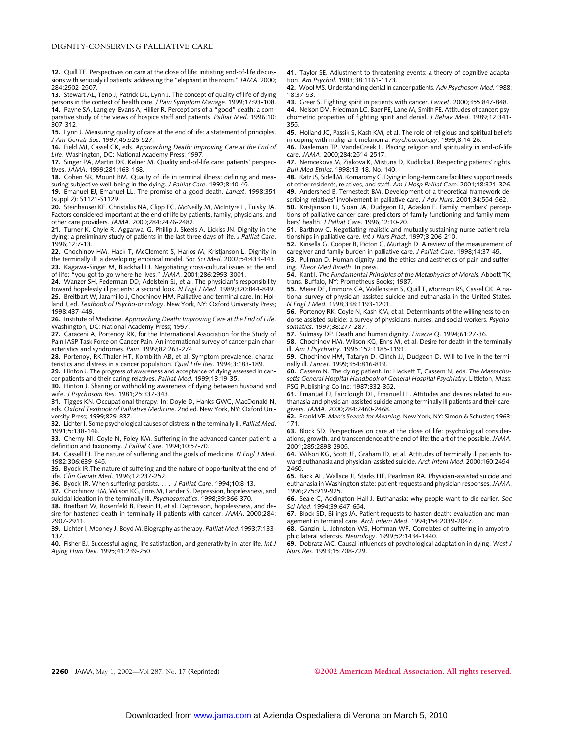#### DIGNITY-CONSERVING PALLIATIVE CARE

**12.** Quill TE. Perspectives on care at the close of life: initiating end-of-life discussions with seriously ill patients: addressing the "elephant in the room." *JAMA*. 2000; 284:2502-2507.

**13.** Stewart AL, Teno J, Patrick DL, Lynn J. The concept of quality of life of dying persons in the context of health care. *J Pain Symptom Manage*. 1999;17:93-108. **14.** Payne SA, Langley-Evans A, Hillier R. Perceptions of a "good" death: a comparative study of the views of hospice staff and patients. *Palliat Med*. 1996;10: 307-312.

**15.** Lynn J. Measuring quality of care at the end of life: a statement of principles. *J Am Geriatr Soc*. 1997;45:526-527.

**16.** Field MJ, Cassel CK, eds. *Approaching Death: Improving Care at the End of Life*. Washington, DC: National Academy Press; 1997.

**17.** Singer PA, Martin DK, Kelner M. Quality end-of-life care: patients' perspectives. *JAMA*. 1999;281:163-168.

**18.** Cohen SR, Mount BM. Quality of life in terminal illness: defining and measuring subjective well-being in the dying. *J Palliat Care*. 1992;8:40-45.

**19.** Emanuel EJ, Emanuel LL. The promise of a good death. *Lancet*. 1998;351 (suppl 2): S1121-S1129.

**20.** Steinhauser KE, Christakis NA, Clipp EC, McNeilly M, McIntyre L, Tulsky JA. Factors considered important at the end of life by patients, family, physicians, and other care providers. *JAMA*. 2000;284:2476-2482.

**21.** Turner K, Chyle R, Aggarwal G, Phillip J, Skeels A, Lickiss JN. Dignity in the dying: a preliminary study of patients in the last three days of life. *J Palliat Care*. 1996;12:7-13.

**22.** Chochinov HM, Hack T, McClement S, Harlos M, Kristjanson L. Dignity in the terminally ill: a developing empirical model. *Soc Sci Med*. 2002;54:433-443.

23. Kagawa-Singer M, Blackhall LJ. Negotiating cross-cultural issues at the end of life: "you got to go where he lives." *JAMA*. 2001;286:2993-3001.

**24.** Wanzer SH, Federman DD, Adelstein SJ, et al. The physician's responsibility toward hopelessly ill patients: a second look. *N Engl J Med*. 1989;320:844-849. **25.** Breitbart W, Jaramillo J, Chochinov HM. Palliative and terminal care. In: Holland J, ed. *Textbook of Psycho-oncology*. New York, NY: Oxford University Press; 1998:437-449.

**26.** Institute of Medicine. *Approaching Death: Improving Care at the End of Life*. Washington, DC: National Academy Press; 1997.

**27.** Caraceni A, Portenoy RK, for the International Association for the Study of Pain IASP Task Force on Cancer Pain. An international survey of cancer pain characteristics and syndromes. *Pain*. 1999;82:263-274.

**28.** Portenoy, RK,Thaler HT, Kornblith AB, et al. Symptom prevalence, characteristics and distress in a cancer population. *Qual Life Res*. 1994;3:183-189.

**29.** Hinton J. The progress of awareness and acceptance of dying assessed in cancer patients and their caring relatives. *Palliat Med*. 1999;13:19-35.

**30.** Hinton J. Sharing or withholding awareness of dying between husband and wife. *J Psychosom Res*. 1981;25:337-343.

**31.** Tigges KN. Occupational therapy. In: Doyle D, Hanks GWC, MacDonald N, eds. *Oxford Textbook of Palliative Medicine*. 2nd ed. New York, NY: Oxford University Press; 1999;829-837.

**32.** Lichter I. Some psychological causes of distress in the terminally ill. *Palliat Med*. 1991;5:138-146.

**33.** Cherny NI, Coyle N, Foley KM. Suffering in the advanced cancer patient: a definition and taxonomy. *J Palliat Care*. 1994;10:57-70.

**34.** Cassell EJ. The nature of suffering and the goals of medicine. *N Engl J Med*. 1982;306:639-645.

**35.** Byock IR.The nature of suffering and the nature of opportunity at the end of life. *Clin Geriatr Med*. 1996;12:237-252.

**36.** Byock IR. When suffering persists.... *J Palliat Care*. 1994;10:8-13.

**37.** Chochinov HM, Wilson KG, Enns M, Lander S. Depression, hopelessness, and

suicidal ideation in the terminally ill. *Psychosomatics*. 1998;39:366-370. **38.** Breitbart W, Rosenfeld B, Pessin H, et al. Depression, hopelessness, and de-

sire for hastened death in terminally ill patients with cancer. *JAMA*. 2000;284: 2907-2911.

**39.** Lichter I, Mooney J, Boyd M. Biography as therapy. *Palliat Med*. 1993;7:133- 137.

**40.** Fisher BJ. Successful aging, life satisfaction, and generativity in later life. *Int J Aging Hum Dev*. 1995;41:239-250.

**41.** Taylor SE. Adjustment to threatening events: a theory of cognitive adaptation. *Am Psychol*. 1983;38:1161-1173.

**42.** Wool MS. Understanding denial in cancer patients. *Adv Psychosom Med*. 1988; 18:37-53.

**43.** Greer S. Fighting spirit in patients with cancer. *Lancet*. 2000;355:847-848.

**44.** Nelson DV, Friedman LC, Baer PE, Lane M, Smith FE. Attitudes of cancer: psychometric properties of fighting spirit and denial. *J Behav Med*. 1989;12:341- 355.

**45.** Holland JC, Passik S, Kash KM, et al. The role of religious and spiritual beliefs in coping with malignant melanoma. *Psychooncology*. 1999;8:14-26.

**46.** Daaleman TP, VandeCreek L. Placing religion and spirituality in end-of-life care. *JAMA*. 2000;284:2514-2517.

**47.** Nemcekova M, Ziakova K, Mistuna D, Kudlicka J. Respecting patients' rights. *Bull Med Ethics*. 1998:13-18. No. 140.

**48.** Katz JS, Sidell M, Komaromy C. Dying in long-term care facilities: support needs of other residents, relatives, and staff. *Am J Hosp Palliat Care*. 2001;18:321-326. **49.** Andershed B, Ternestedt BM. Development of a theoretical framework de-

scribing relatives' involvement in palliative care. *J Adv Nurs*. 2001;34:554-562. **50.** Kristjanson LJ, Sloan JA, Dudgeon D, Adaskin E. Family members' perceptions of palliative cancer care: predictors of family functioning and family members' health. *J Palliat Care*. 1996;12:10-20.

**51.** Barthow C. Negotiating realistic and mutually sustaining nurse-patient relationships in palliative care. *Int J Nurs Pract*. 1997;3:206-210.

**52.** Kinsella G, Cooper B, Picton C, Murtagh D. A review of the measurement of caregiver and family burden in palliative care. *J Palliat Care*. 1998;14:37-45. **53.** Pullman D. Human dignity and the ethics and aesthetics of pain and suffer-

ing. *Theor Med Bioeth*. In press. **54.** Kant I. *The Fundamental Principles of the Metaphysics of Morals*. Abbott TK,

trans. Buffalo, NY: Prometheus Books; 1987.

**55.** Meier DE, Emmons CA, Wallenstein S, Quill T, Morrison RS, Cassel CK. A national survey of physician-assisted suicide and euthanasia in the United States. *N Engl J Med*. 1998;338:1193-1201.

**56.** Portenoy RK, Coyle N, Kash KM, et al. Determinants of the willingness to endorse assisted suicide: a survey of physicians, nurses, and social workers. *Psychosomatics*. 1997;38:277-287.

**57.** Sulmasy DP. Death and human dignity. *Linacre Q*. 1994;61:27-36.

**58.** Chochinov HM, Wilson KG, Enns M, et al. Desire for death in the terminally ill. *Am J Psychiatry*. 1995;152:1185-1191.

**59.** Chochinov HM, Tataryn D, Clinch JJ, Dudgeon D. Will to live in the terminally ill. *Lancet*. 1999;354:816-819.

**60.** Cassem N. The dying patient. In: Hackett T, Cassem N, eds. *The Massachusetts General Hospital Handbook of General Hospital Psychiatry*. Littleton, Mass: PSG Publishing Co Inc; 1987:332-352.

**61.** Emanuel EJ, Fairclough DL, Emanuel LL. Attitudes and desires related to euthanasia and physician-assisted suicide among terminally ill patients and their caregivers. *JAMA*. 2000;284:2460-2468.

**62.** Frankl VE. *Man's Search for Meaning*. New York, NY: Simon & Schuster; 1963: 171.

**63.** Block SD. Perspectives on care at the close of life: psychological considerations, growth, and transcendence at the end of life: the art of the possible. *JAMA*. 2001;285:2898-2905.

**64.** Wilson KG, Scott JF, Graham ID, et al. Attitudes of terminally ill patients toward euthanasia and physician-assisted suicide. *Arch Intern Med*. 2000;160:2454- 2460.

**65.** Back AL, Wallace JI, Starks HE, Pearlman RA. Physician-assisted suicide and euthanasia in Washington state: patient requests and physician responses. *JAMA*. 1996;275:919-925.

**66.** Seale C, Addington-Hall J. Euthanasia: why people want to die earlier. *Soc Sci Med*. 1994;39:647-654.

**67.** Block SD, Billings JA. Patient requests to hasten death: evaluation and management in terminal care. *Arch Intern Med*. 1994;154:2039-2047.

**68.** Ganzini L, Johnston WS, Hoffman WF. Correlates of suffering in amyotrophic lateral sclerosis. *Neurology*. 1999;52:1434-1440.

**69.** Dobratz MC. Causal influences of psychological adaptation in dying. *West J Nurs Res*. 1993;15:708-729.